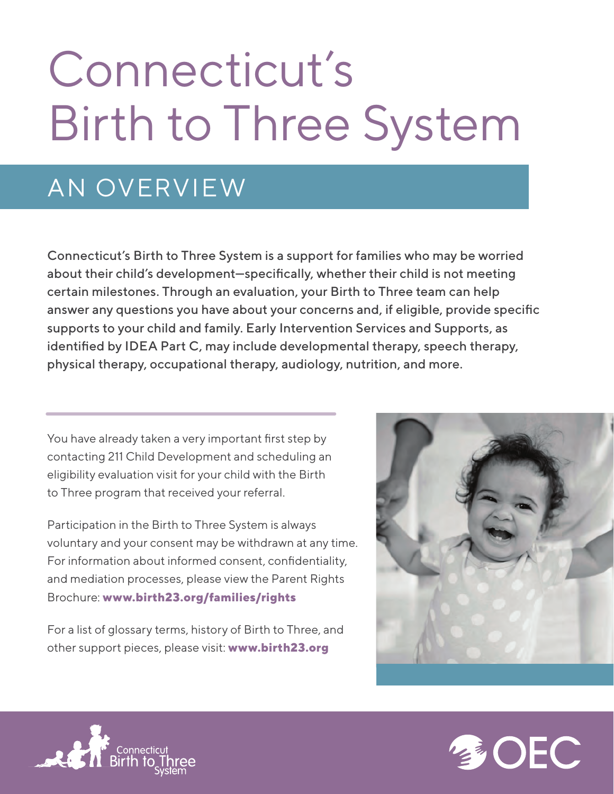# Connecticut's Birth to Three System

## AN OVERVIEW

Connecticut's Birth to Three System is a support for families who may be worried about their child's development—specifically, whether their child is not meeting certain milestones. Through an evaluation, your Birth to Three team can help answer any questions you have about your concerns and, if eligible, provide specific supports to your child and family. Early Intervention Services and Supports, as identified by IDEA Part C, may include developmental therapy, speech therapy, physical therapy, occupational therapy, audiology, nutrition, and more.

You have already taken a very important first step by contacting 211 Child Development and scheduling an eligibility evaluation visit for your child with the Birth to Three program that received your referral.

Participation in the Birth to Three System is always voluntary and your consent may be withdrawn at any time. For information about informed consent, confidentiality, and mediation processes, please view the Parent Rights Brochure: **www.birth23.org/families/rights**





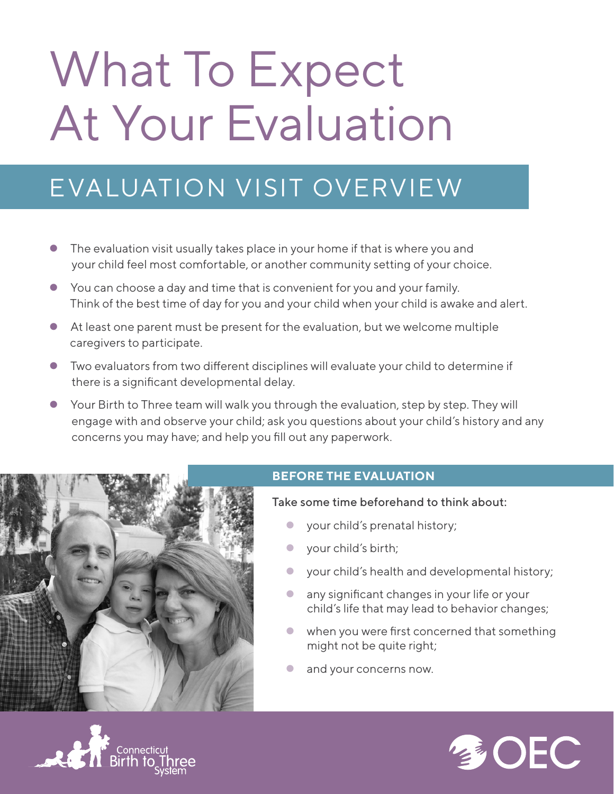# What To Expect At Your Evaluation

## EVALUATION VISIT OVERVIEW

- The evaluation visit usually takes place in your home if that is where you and your child feel most comfortable, or another community setting of your choice.
- You can choose a day and time that is convenient for you and your family. Think of the best time of day for you and your child when your child is awake and alert.
- At least one parent must be present for the evaluation, but we welcome multiple caregivers to participate.
- $\bullet$  Two evaluators from two different disciplines will evaluate your child to determine if there is a significant developmental delay.
- Your Birth to Three team will walk you through the evaluation, step by step. They will engage with and observe your child; ask you questions about your child's history and any concerns you may have; and help you fill out any paperwork.



#### **BEFORE THE EVALUATION**

Take some time beforehand to think about:

- your child's prenatal history;
- **v** your child's birth;
- **•** your child's health and developmental history;
- **•** any significant changes in your life or your child's life that may lead to behavior changes;
- when you were first concerned that something might not be quite right;
- and your concerns now.



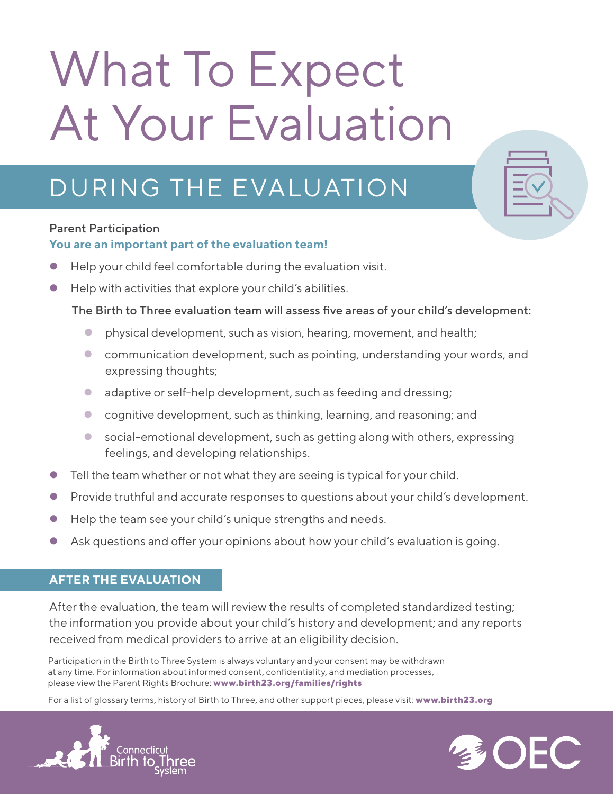# What To Expect At Your Evaluation

## DURING THE EVALUATION

#### Parent Participation

#### **You are an important part of the evaluation team!**

- Help your child feel comfortable during the evaluation visit.
- Help with activities that explore your child's abilities.

#### The Birth to Three evaluation team will assess five areas of your child's development:

- **•** physical development, such as vision, hearing, movement, and health;
- communication development, such as pointing, understanding your words, and expressing thoughts;
- adaptive or self-help development, such as feeding and dressing;
- cognitive development, such as thinking, learning, and reasoning; and
- social-emotional development, such as getting along with others, expressing feelings, and developing relationships.
- Tell the team whether or not what they are seeing is typical for your child.
- **Provide truthful and accurate responses to questions about your child's development.**
- Help the team see your child's unique strengths and needs.
- $\bullet$  Ask questions and offer your opinions about how your child's evaluation is going.

#### **AFTER THE EVALUATION**

After the evaluation, the team will review the results of completed standardized testing; the information you provide about your child's history and development; and any reports received from medical providers to arrive at an eligibility decision.

Participation in the Birth to Three System is always voluntary and your consent may be withdrawn at any time. For information about informed consent, confidentiality, and mediation processes, please view the Parent Rights Brochure: **www.birth23.org/families/rights**



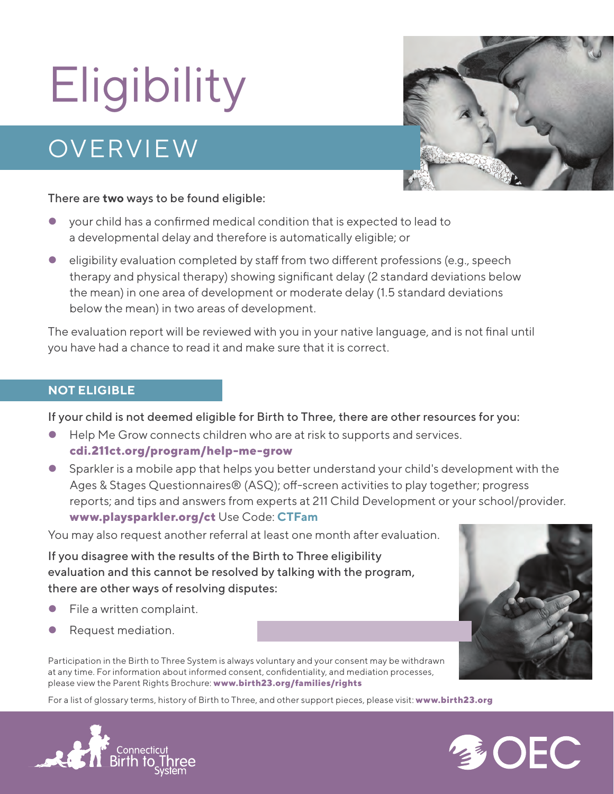# **Eligibility**

## **OVERVIEW**



#### There are **two** ways to be found eligible:

- your child has a confirmed medical condition that is expected to lead to a developmental delay and therefore is automatically eligible; or
- $\bullet$  eligibility evaluation completed by staff from two different professions (e.g., speech therapy and physical therapy) showing significant delay (2 standard deviations below the mean) in one area of development or moderate delay (1.5 standard deviations below the mean) in two areas of development.

The evaluation report will be reviewed with you in your native language, and is not final until you have had a chance to read it and make sure that it is correct.

#### **NOT ELIGIBLE**

If your child is not deemed eligible for Birth to Three, there are other resources for you:

- Help Me Grow connects children who are at risk to supports and services. **cdi.211ct.org/program/help-me-grow**
- Sparkler is a mobile app that helps you better understand your child's development with the Ages & Stages Questionnaires $\circledR$  (ASQ); off-screen activities to play together; progress reports; and tips and answers from experts at 211 Child Development or your school/provider. **www.playsparkler.org/ct** Use Code: **CTFam**

You may also request another referral at least one month after evaluation.

If you disagree with the results of the Birth to Three eligibility evaluation and this cannot be resolved by talking with the program, there are other ways of resolving disputes:

- File a written complaint.
- Request mediation.

Participation in the Birth to Three System is always voluntary and your consent may be withdrawn at any time. For information about informed consent, confidentiality, and mediation processes, please view the Parent Rights Brochure: **www.birth23.org/families/rights**